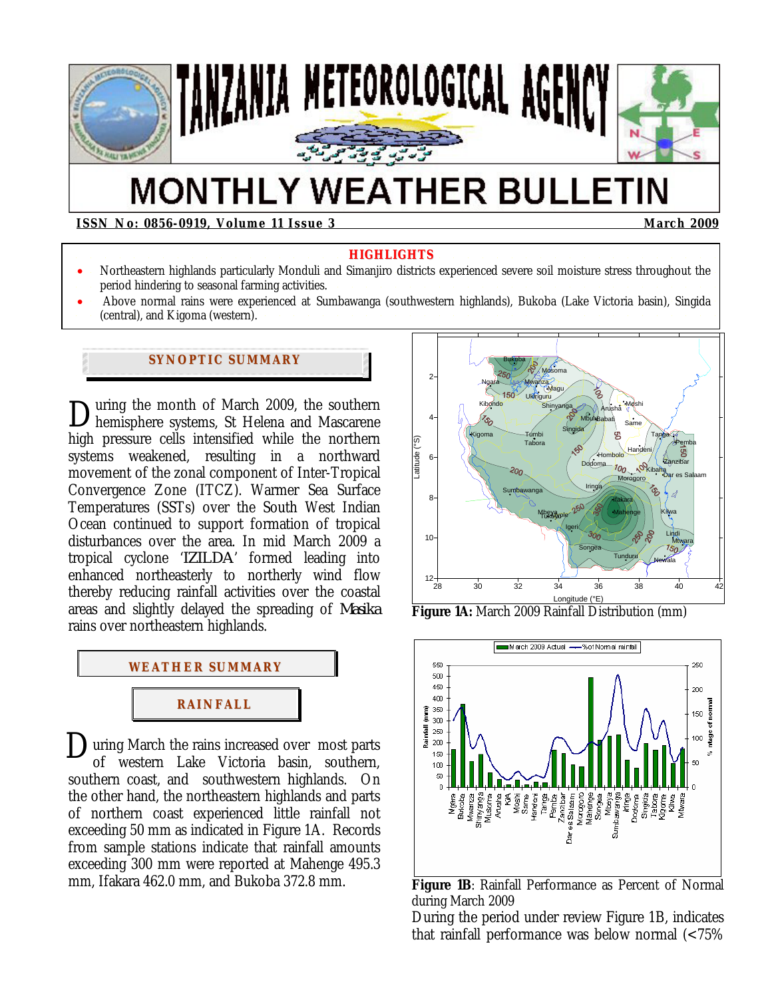

# **MONTHLY WEATHER BULLETIN**

**ISSN No: 0856-0919, Volume 11 Issue 3 March 2009**  March 2009

#### **HIGHLIGHTS**

- Northeastern highlands particularly Monduli and Simanjiro districts experienced severe soil moisture stress throughout the period hindering to seasonal farming activities.
- Above normal rains were experienced at Sumbawanga (southwestern highlands), Bukoba (Lake Victoria basin), Singida (central), and Kigoma (western).

## **SYNOPTIC SUMMARY**

uring the month of March 2009, the southern During the month of March 2009, the southern<br>hemisphere systems, St Helena and Mascarene high pressure cells intensified while the northern systems weakened, resulting in a northward movement of the zonal component of Inter-Tropical Convergence Zone (ITCZ). Warmer Sea Surface Temperatures (SSTs) over the South West Indian Ocean continued to support formation of tropical disturbances over the area. In mid March 2009 a tropical cyclone '*IZILDA*' formed leading into enhanced northeasterly to northerly wind flow thereby reducing rainfall activities over the coastal areas and slightly delayed the spreading of *Masika* rains over northeastern highlands.



**D**uring March the rains increased over most parts<br>of western Lake Victoria basin southern of western Lake Victoria basin, southern, southern coast, and southwestern highlands. On the other hand, the northeastern highlands and parts of northern coast experienced little rainfall not exceeding 50 mm as indicated in Figure 1A. Records from sample stations indicate that rainfall amounts exceeding 300 mm were reported at Mahenge 495.3 mm, Ifakara 462.0 mm, and Bukoba 372.8 mm.



**Figure 1A:** March 2009 Rainfall Distribution (mm)



**Figure 1B**: Rainfall Performance as Percent of Normal during March 2009

During the period under review Figure 1B, indicates that rainfall performance was below normal (<75%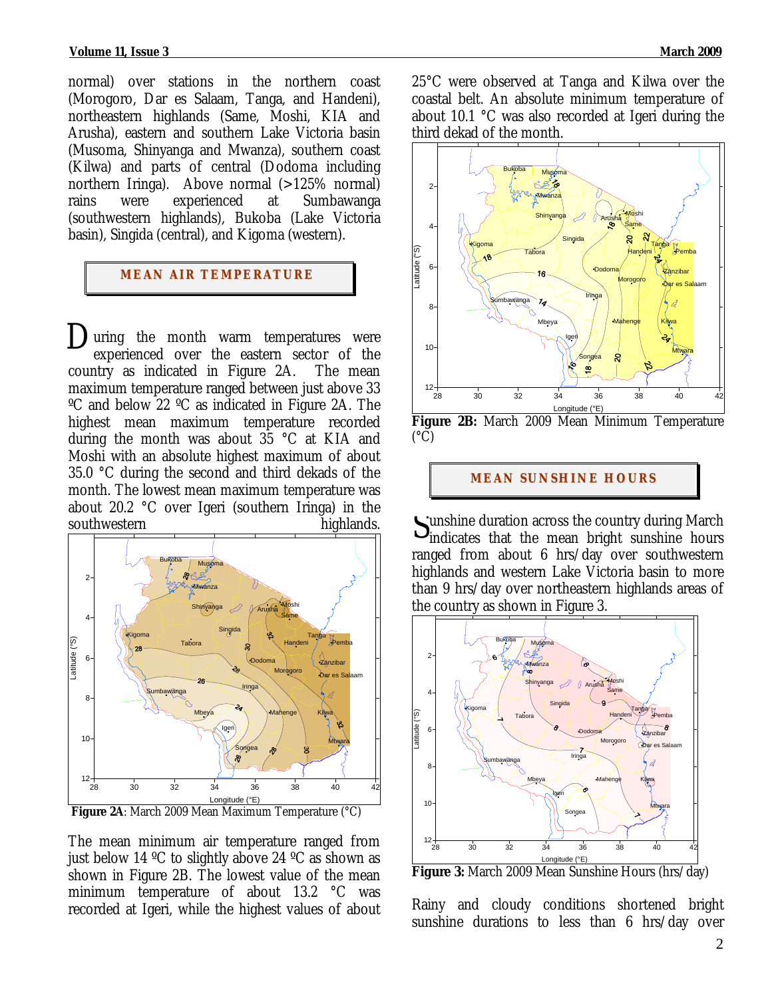normal) over stations in the northern coast (Morogoro, Dar es Salaam, Tanga, and Handeni), northeastern highlands (Same, Moshi, KIA and Arusha), eastern and southern Lake Victoria basin (Musoma, Shinyanga and Mwanza), southern coast (Kilwa) and parts of central (Dodoma including northern Iringa). Above normal (>125% normal) rains were experienced at Sumbawanga (southwestern highlands), Bukoba (Lake Victoria basin), Singida (central), and Kigoma (western).

#### **MEAN AIR TEMPERATURE**

 $\sum$  uring the month warm temperatures were<br>experienced over the eastern sector of the experienced over the eastern sector of the country as indicated in Figure 2A. The mean maximum temperature ranged between just above 33 ºC and below 22 ºC as indicated in Figure 2A. The highest mean maximum temperature recorded during the month was about 35 °C at KIA and Moshi with an absolute highest maximum of about 35.0 °C during the second and third dekads of the month. The lowest mean maximum temperature was about 20.2 °C over Igeri (southern Iringa) in the southwestern highlands.



 **Figure 2A**: March 2009 Mean Maximum Temperature (°C)

The mean minimum air temperature ranged from just below 14 ºC to slightly above 24 ºC as shown as shown in Figure 2B. The lowest value of the mean minimum temperature of about 13.2 °C was recorded at Igeri, while the highest values of about 25°C were observed at Tanga and Kilwa over the coastal belt. An absolute minimum temperature of about 10.1 °C was also recorded at Igeri during the third dekad of the month.



**Figure 2B:** March 2009 Mean Minimum Temperature  $(^{\circ}C)$ 

#### **MEAN SUNSHINE HOURS**

unshine duration across the country during March Sunshine duration across the country during March<br>
indicates that the mean bright sunshine hours ranged from about 6 hrs/day over southwestern highlands and western Lake Victoria basin to more than 9 hrs/day over northeastern highlands areas of the country as shown in Figure 3.



Rainy and cloudy conditions shortened bright sunshine durations to less than 6 hrs/day over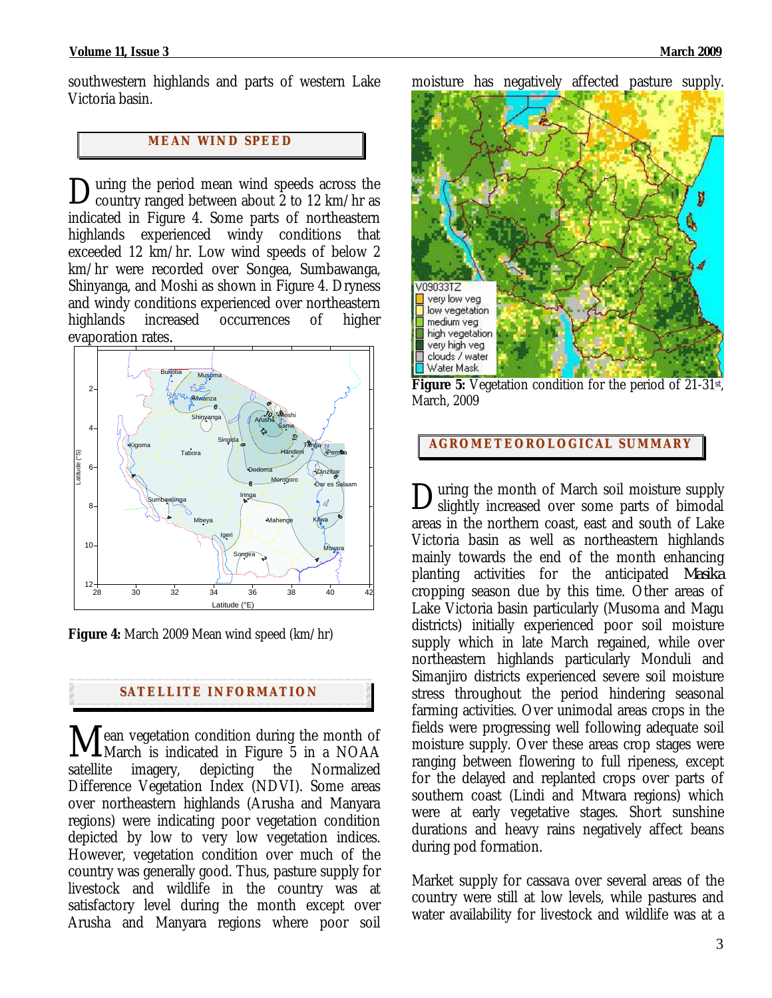southwestern highlands and parts of western Lake Victoria basin.

# **MEAN WI ND SPEED**

uring the period mean wind speeds across the During the period mean wind speeds across the country ranged between about 2 to 12 km/hr as indicated in Figure 4. Some parts of northeastern highlands experienced windy conditions that exceeded 12 km/hr. Low wind speeds of below 2 km/hr were recorded over Songea, Sumbawanga, Shinyanga, and Moshi as shown in Figure 4. Dryness and windy conditions experienced over northeastern highlands increased occurrences of higher evaporation rates*.*



**Figure 4:** March 2009 Mean wind speed (km/hr)

#### **SATELLITE I NFORMATION**

ean vegetation condition during the month of Mean vegetation condition during the month of<br>March is indicated in Figure 5 in a NOAA satellite imagery, depicting the Normalized Difference Vegetation Index (NDVI). Some areas over northeastern highlands (Arusha and Manyara regions) were indicating poor vegetation condition depicted by low to very low vegetation indices. However, vegetation condition over much of the country was generally good. Thus, pasture supply for livestock and wildlife in the country was at satisfactory level during the month except over Arusha and Manyara regions where poor soil

moisture has negatively affected pasture supply.



**Figure 5:** Vegetation condition for the period of 21-31st, March, 2009

#### **AGROMETEOROLOGICAL SUMMARY**

uring the month of March soil moisture supply During the month of March soil moisture supply<br>Slightly increased over some parts of bimodal areas in the northern coast, east and south of Lake Victoria basin as well as northeastern highlands mainly towards the end of the month enhancing planting activities for the anticipated *Masika*  cropping season due by this time. Other areas of Lake Victoria basin particularly (Musoma and Magu districts) initially experienced poor soil moisture supply which in late March regained, while over northeastern highlands particularly Monduli and Simanjiro districts experienced severe soil moisture stress throughout the period hindering seasonal farming activities. Over unimodal areas crops in the fields were progressing well following adequate soil moisture supply. Over these areas crop stages were ranging between flowering to full ripeness, except for the delayed and replanted crops over parts of southern coast (Lindi and Mtwara regions) which were at early vegetative stages. Short sunshine durations and heavy rains negatively affect beans during pod formation.

Market supply for cassava over several areas of the country were still at low levels, while pastures and water availability for livestock and wildlife was at a